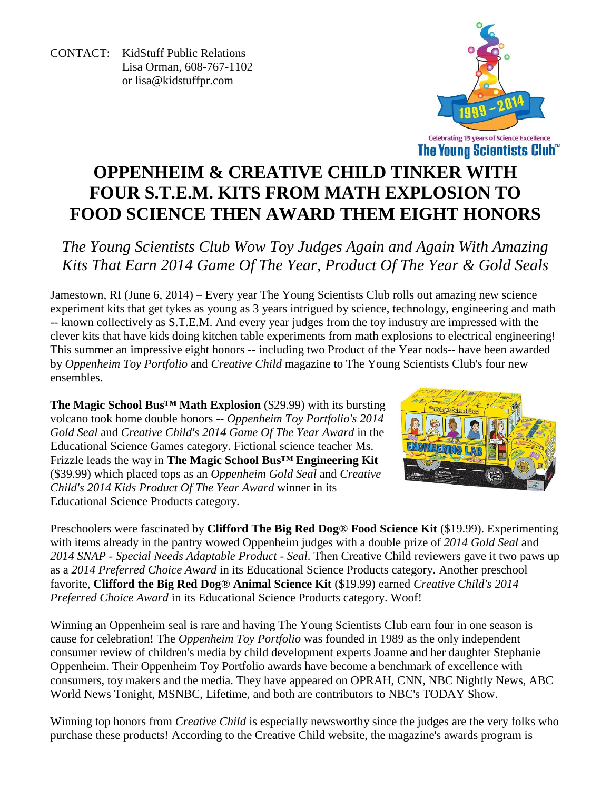CONTACT: KidStuff Public Relations Lisa Orman, 608-767-1102 or [lisa@kidstuffpr.com](mailto:lisa@kidstuffpr.com)



# **OPPENHEIM & CREATIVE CHILD TINKER WITH FOUR S.T.E.M. KITS FROM MATH EXPLOSION TO FOOD SCIENCE THEN AWARD THEM EIGHT HONORS**

*The Young Scientists Club Wow Toy Judges Again and Again With Amazing Kits That Earn 2014 Game Of The Year, Product Of The Year & Gold Seals*

Jamestown, RI (June 6, 2014) – Every year The Young Scientists Club rolls out amazing new science experiment kits that get tykes as young as 3 years intrigued by science, technology, engineering and math -- known collectively as S.T.E.M. And every year judges from the toy industry are impressed with the clever kits that have kids doing kitchen table experiments from math explosions to electrical engineering! This summer an impressive eight honors -- including two Product of the Year nods-- have been awarded by *Oppenheim Toy Portfolio* and *Creative Child* magazine to The Young Scientists Club's four new ensembles.

**The Magic School Bus™ Math Explosion** (\$29.99) with its bursting volcano took home double honors -- *Oppenheim Toy Portfolio's 2014 Gold Seal* and *Creative Child's 2014 Game Of The Year Award* in the Educational Science Games category. Fictional science teacher Ms. Frizzle leads the way in **The Magic School Bus™ Engineering Kit** (\$39.99) which placed tops as an *Oppenheim Gold Seal* and *Creative Child's 2014 Kids Product Of The Year Award* winner in its Educational Science Products category.



Preschoolers were fascinated by **Clifford The Big Red Dog**® **Food Science Kit** (\$19.99). Experimenting with items already in the pantry wowed Oppenheim judges with a double prize of *2014 Gold Seal* and *2014 SNAP - Special Needs Adaptable Product - Seal*. Then Creative Child reviewers gave it two paws up as a *2014 Preferred Choice Award* in its Educational Science Products category. Another preschool favorite, **Clifford the Big Red Dog**® **Animal Science Kit** (\$19.99) earned *Creative Child's 2014 Preferred Choice Award* in its Educational Science Products category. Woof!

Winning an Oppenheim seal is rare and having The Young Scientists Club earn four in one season is cause for celebration! The *Oppenheim Toy Portfolio* was founded in 1989 as the only independent consumer review of children's media by child development experts Joanne and her daughter Stephanie Oppenheim. Their Oppenheim Toy Portfolio awards have become a benchmark of excellence with consumers, toy makers and the media. They have appeared on OPRAH, CNN, NBC Nightly News, ABC World News Tonight, MSNBC, Lifetime, and both are contributors to NBC's TODAY Show.

Winning top honors from *Creative Child* is especially newsworthy since the judges are the very folks who purchase these products! According to the Creative Child website, the magazine's awards program is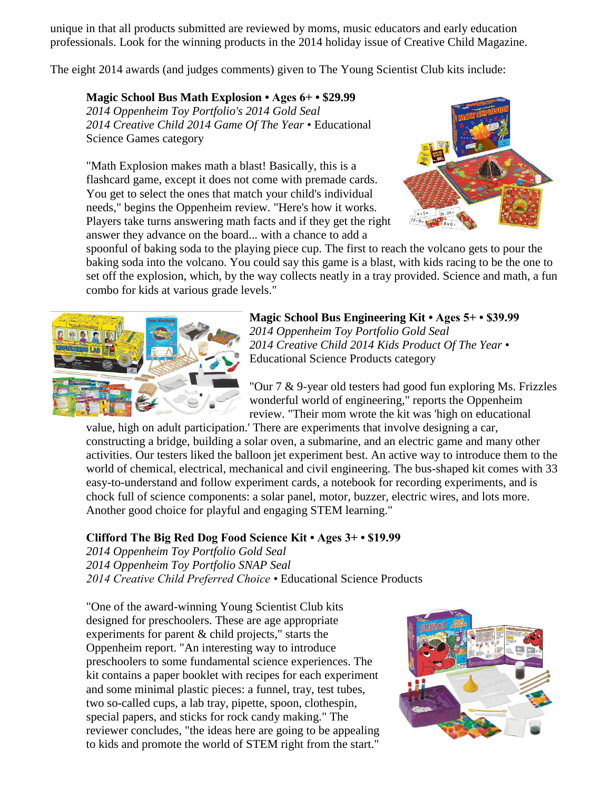unique in that all products submitted are reviewed by moms, music educators and early education professionals. Look for the winning products in the 2014 holiday issue of Creative Child Magazine.

The eight 2014 awards (and judges comments) given to The Young Scientist Club kits include:

**[Magic School Bus Math Explosion](http://toyportfolio.com/SingleProduct.php?ProductID=7904) • Ages 6+ • \$29.99**  *2014 Oppenheim Toy Portfolio's 2014 Gold Seal 2014 Creative Child 2014 Game Of The Year* • Educational Science Games category

"Math Explosion makes math a blast! Basically, this is a flashcard game, except it does not come with premade cards. You get to select the ones that match your child's individual needs," begins the Oppenheim review. "Here's how it works. Players take turns answering math facts and if they get the right answer they advance on the board... with a chance to add a



spoonful of baking soda to the playing piece cup. The first to reach the volcano gets to pour the baking soda into the volcano. You could say this game is a blast, with kids racing to be the one to set off the explosion, which, by the way collects neatly in a tray provided. Science and math, a fun combo for kids at various grade levels."



**Magic School Bus Engineering Kit • Ages 5+ • \$39.99** *2014 Oppenheim Toy Portfolio Gold Seal 2014 Creative Child 2014 Kids Product Of The Year* • Educational Science Products category

"Our 7 & 9-year old testers had good fun exploring Ms. Frizzles wonderful world of engineering," reports the Oppenheim review. "Their mom wrote the kit was 'high on educational

value, high on adult participation.' There are experiments that involve designing a car, constructing a bridge, building a solar oven, a submarine, and an electric game and many other activities. Our testers liked the balloon jet experiment best. An active way to introduce them to the world of chemical, electrical, mechanical and civil engineering. The bus-shaped kit comes with 33 easy-to-understand and follow experiment cards, a notebook for recording experiments, and is chock full of science components: a solar panel, motor, buzzer, electric wires, and lots more. Another good choice for playful and engaging STEM learning."

## **Clifford The Big Red Dog Food Science Kit • Ages 3+ • \$19.99**

*2014 Oppenheim Toy Portfolio Gold Seal 2014 Oppenheim Toy Portfolio SNAP Seal 2014 Creative Child Preferred Choice •* Educational Science Products

"One of the award-winning Young Scientist Club kits designed for preschoolers. These are age appropriate experiments for parent & child projects," starts the Oppenheim report. "An interesting way to introduce preschoolers to some fundamental science experiences. The kit contains a paper booklet with recipes for each experiment and some minimal plastic pieces: a funnel, tray, test tubes, two so-called cups, a lab tray, pipette, spoon, clothespin, special papers, and sticks for rock candy making." The reviewer concludes, "the ideas here are going to be appealing to kids and promote the world of STEM right from the start."